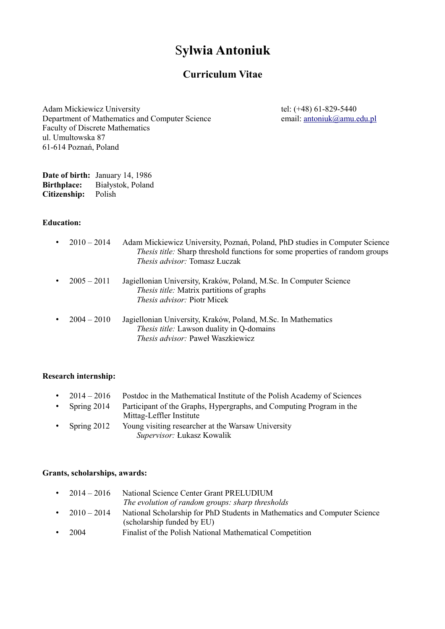# S**ylwia Antoniuk**

# **Curriculum Vitae**

Adam Mickiewicz University tel: (+48) 61-829-5440 Department of Mathematics and Computer Science email: [antoniuk@amu.edu.pl](mailto:antoniuk@amu.edu.pl) Faculty of Discrete Mathematics ul. Umultowska 87 61-614 Poznań, Poland

**Date of birth:** January 14, 1986 **Birthplace:** Białystok, Poland **Citizenship:** Polish

## **Education:**

| $\bullet$ | $2010 - 2014$ | Adam Mickiewicz University, Poznań, Poland, PhD studies in Computer Science<br>Thesis title: Sharp threshold functions for some properties of random groups<br><i>Thesis advisor:</i> Tomasz Łuczak |
|-----------|---------------|-----------------------------------------------------------------------------------------------------------------------------------------------------------------------------------------------------|
|           | $2005 - 2011$ | Jagiellonian University, Kraków, Poland, M.Sc. In Computer Science<br>Thesis title: Matrix partitions of graphs<br><i>Thesis advisor:</i> Piotr Micek                                               |
|           | $2004 - 2010$ | Jagiellonian University, Kraków, Poland, M.Sc. In Mathematics<br>Thesis title: Lawson duality in Q-domains<br>Thesis advisor: Paweł Waszkiewicz                                                     |

## **Research internship:**

- 2014 2016 Postdoc in the Mathematical Institute of the Polish Academy of Sciences
- Spring 2014 Participant of the Graphs, Hypergraphs, and Computing Program in the Mittag-Leffler Institute
- Spring 2012 Young visiting researcher at the Warsaw University *Supervisor:* Łukasz Kowalik

#### **Grants, scholarships, awards:**

| $2014 - 2016$ | National Science Center Grant PRELUDIUM                                   |
|---------------|---------------------------------------------------------------------------|
|               | The evolution of random groups: sharp thresholds                          |
| $2010 - 2014$ | National Scholarship for PhD Students in Mathematics and Computer Science |
|               | (scholarship funded by EU)                                                |
| 2004          | Finalist of the Polish National Mathematical Competition                  |